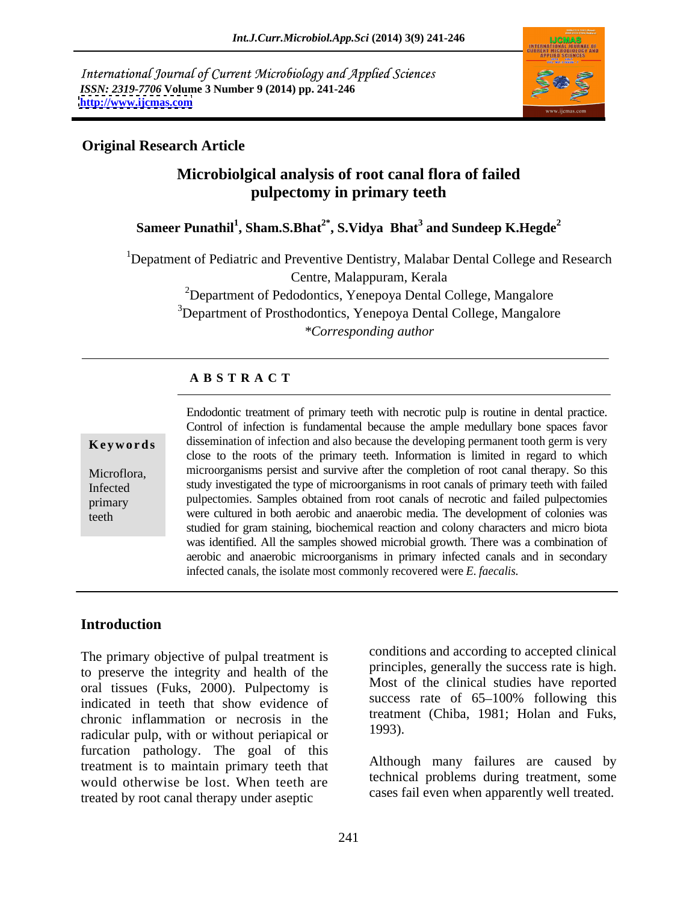International Journal of Current Microbiology and Applied Sciences *ISSN: 2319-7706* **Volume 3 Number 9 (2014) pp. 241-246 <http://www.ijcmas.com>**



## **Original Research Article**

# **Microbiolgical analysis of root canal flora of failed pulpectomy in primary teeth**

**Sameer Punathil<sup>1</sup> , Sham.S.Bhat2\* , S.Vidya Bhat<sup>3</sup> and Sundeep K.Hegde<sup>2</sup>**

<sup>1</sup>Depatment of Pediatric and Preventive Dentistry, Malabar Dental College and Research Centre, Malappuram, Kerala

> <sup>2</sup>Department of Pedodontics, Yenepoya Dental College, Mangalore <sup>3</sup>Department of Prosthodontics, Yenepoya Dental College, Mangalore *\*Corresponding author*

### **A B S T R A C T**

**Keywords** dissemination of infection and also because the developing permanent tooth germ is very Microflora, microorganisms persist and survive after the completion of root canal therapy. So this Infected study investigated the type of microorganisms in root canals of primary teeth with failed primary pulpectomies. Samples obtained from root canals of necrotic and failed pulpectomies teeth were cultured in both aerobic and anaerobic media. The development of colonies was Endodontic treatment of primary teeth with necrotic pulp is routine in dental practice. Control of infection is fundamental because the ample medullary bone spaces favor close to the roots of the primary teeth. Information is limited in regard to which studied for gram staining, biochemical reaction and colony characters and micro biota was identified. All the samples showed microbial growth. There was a combination of aerobic and anaerobic microorganisms in primary infected canals and in secondary infected canals, the isolate most commonly recovered were *E. faecalis*.

## **Introduction**

The primary objective of pulpal treatment is to preserve the integrity and health of the oral tissues (Fuks, 2000). Pulpectomy is indicated in teeth that show evidence of chronic inflammation or necrosis in the treatment redicular pulp with or without periodical or 1993). radicular pulp, with or without periapical or furcation pathology. The goal of this treatment is to maintain primary teeth that would otherwise be lost. When teeth are treated by root canal therapy under aseptic

conditions and according to accepted clinical principles, generally the success rate is high. Most of the clinical studies have reported success rate of  $65-100\%$  following this treatment (Chiba, 1981; Holan and Fuks, 1993).

Although many failures are caused by technical problems during treatment, some cases fail even when apparently well treated.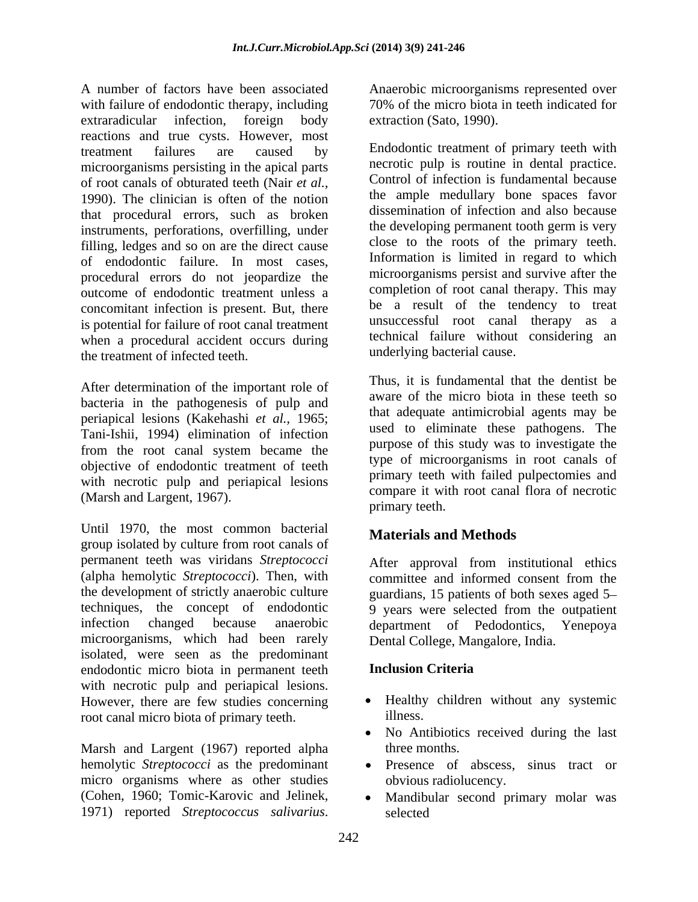A number of factors have been associated with failure of endodontic therapy, including extraradicular infection, foreign body extraction (Sato, 1990). reactions and true cysts. However, most treatment failures are caused by Endodontic treatment of primary teeth with microorganisms persisting in the apical parts of root canals of obturated teeth (Nair *et al.,* 1990). The clinician is often of the notion that procedural errors, such as broken instruments, perforations, overfilling, under filling, ledges and so on are the direct cause of endodontic failure. In most cases, procedural errors do not jeopardize the outcome of endodontic treatment unless a concomitant infection is present. But, there is potential for failure of root canal treatment when a procedural accident occurs during the treatment of infected teeth. A manhor of freedomic treatment<br>
A manhor of freedomic contexts and Jeline and Jeline and Jeline and Jeline and Jeline and Jeline and Jeline Contexts and Technical internal microscopy in the species of the species particle

After determination of the important role of bacteria in the pathogenesis of pulp and periapical lesions (Kakehashi *et al.,* 1965; Tani-Ishii, 1994) elimination of infection from the root canal system became the objective of endodontic treatment of teeth with necrotic pulp and periapical lesions (Marsh and Largent, 1967).

Until 1970, the most common bacterial group isolated by culture from root canals of permanent teeth was viridans *Streptococci* After approval from institutional ethics (alpha hemolytic *Streptococci*). Then, with the development of strictly anaerobic culture techniques, the concept of endodontic 9 years were selected from the outpatient infection changed because anaerobic department of Pedodontics, Yenepoya microorganisms, which had been rarely isolated, were seen as the predominant endodontic micro biota in permanent teeth with necrotic pulp and periapical lesions. However, there are few studies concerning <br>root canal micro biota of primary teeth illness. root canal micro biota of primary teeth.

Marsh and Largent (1967) reported alpha three months. hemolytic *Streptococci* as the predominant micro organisms where as other studies (Cohen, 1960; Tomic-Karovic and Jelinek,

70% of the micro biota in teeth indicated for extraction (Sato, 1990).

necrotic pulp is routine in dental practice. Control of infection is fundamental because the ample medullary bone spaces favor dissemination of infection and also because the developing permanent tooth germ is very close to the roots of the primary teeth. Information is limited in regard to which microorganisms persist and survive after the completion of root canal therapy. This may be a result of the tendency to treat unsuccessful root canal therapy as a technical failure without considering an underlying bacterial cause.

Thus, it is fundamental that the dentist be aware of the micro biota in these teeth so that adequate antimicrobial agents may be used to eliminate these pathogens. The purpose of this study was to investigate the type of microorganisms in root canals of primary teeth with failed pulpectomies and compare it with root canal flora of necrotic primary teeth.

# **Materials and Methods**

committee and informed consent from the guardians, 15 patients of both sexes aged 5 Dental College, Mangalore, India.

### **Inclusion Criteria**

- Healthy children without any systemic illness.
- No Antibiotics received during the last three months.
- Presence of abscess, sinus tract or obvious radiolucency.
- Mandibular second primary molar was selected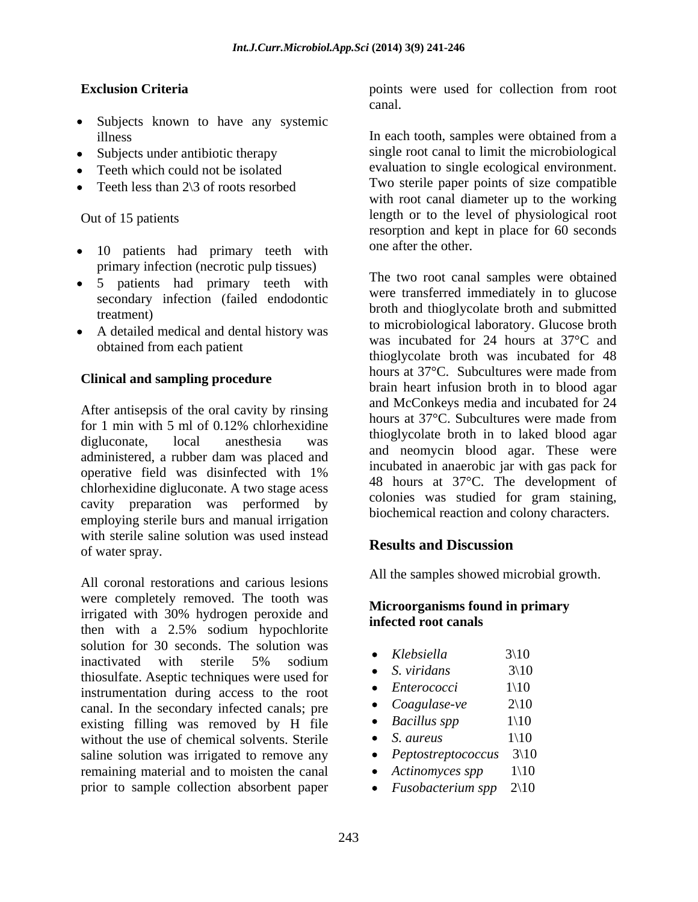- Subjects known to have any systemic
- 
- 
- Teeth less than  $2\sqrt{3}$  of roots resorbed

- 10 patients had primary teeth with primary infection (necrotic pulp tissues)
- 5 patients had primary teeth with secondary infection (failed endodontic
- A detailed medical and dental history was obtained from each patient

### **Clinical and sampling procedure**

After antisepsis of the oral cavity by rinsing administered, a rubber dam was placed and chlorhexidine digluconate. A two stage acess cavity preparation was performed by employing sterile burs and manual irrigation with sterile saline solution was used instead<br>
Results and Discussion of water spray.

All coronal restorations and carious lesions were completely removed. The tooth was irrigated with 30% hydrogen peroxide and **infected root canals** then with a 2.5% sodium hypochlorite solution for 30 seconds. The solution was<br>  $\bullet$  Klebsiella 3\10 inactivated with sterile 5% sodium thiosulfate. Aseptic techniques were used for<br>  $\frac{S. \text{ viridans}}{\text{Interrococc}}$   $\frac{3}{10}$ instrumentation during access to the root<br>cand In the secondary infected cands: pre<br> $\bullet$  Coagulase-ve 2\10 canal. In the secondary infected canals; pre<br>
existing filling was removed by H file  $\bullet$  Bacillus spp 1\10 existing filling was removed by H file  $\bullet$  Bacillus s<br>without the use of chemical solvents Sterile  $\bullet$  S. aureus without the use of chemical solvents. Sterile  $\bullet$  S. aureus  $1\setminus 10$ saline solution was irrigated to remove any  $\bullet$  *Peptostreptococcus* 3\10 remaining material and to moisten the canal  $\bullet$  Actinomyces spp 1\10 prior to sample collection absorbent paper  $\bullet$  Fusobacterium spp 2\10

**Exclusion Criteria Exclusion Criteria points** were used for collection from root canal.

illness In each tooth, samples were obtained from a Subjects under antibiotic therapy single root canal to limit the microbiological Teeth which could not be isolated evaluation to single ecological environment. Out of 15 patients length or to the level of physiological root Two sterile paper points of size compatible with root canal diameter up to the working resorption and kept in place for 60 seconds one after the other.

treatment) broth and thioglycolate broth and submitted for 1 min with 5 ml of  $0.12\%$  chlorhexidine  $\frac{1}{2}$  this leads has helped in the left liked asset digluconate, local anesthesia was unoglycolate blour in to lake blood again operative field was disinfected with  $1\%$  and  $1\%$  and  $27\%$  The development of The two root canal samples were obtained were transferred immediately in to glucose to microbiological laboratory. Glucose broth was incubated for 24 hours at 37°C and thioglycolate broth was incubated for 48 hours at 37°C. Subcultures were made from brain heart infusion broth in to blood agar and McConkeys media and incubated for 24 hours at 37°C. Subcultures were made from thioglycolate broth in to laked blood agar and neomycin blood agar. These were incubated in anaerobic jar with gas pack for 48 hours at 37°C. The development of colonies was studied for gram staining, biochemical reaction and colony characters.

## **Results and Discussion**

All the samples showed microbial growth.

### **Microorganisms found in primary infected root canals**

- *Klebsiella* 3\10
- *S. viridans* 3\10
- *Enterococci* 1\10
- *Coagulase-ve* 2\10
- $Bacillus$  spp  $1\backslash10$
- *S. aureus*  $1\backslash10$
- *Peptostreptococcus* 3\10
- *Actinomyces spp* 1\10
- Fusobacterium spp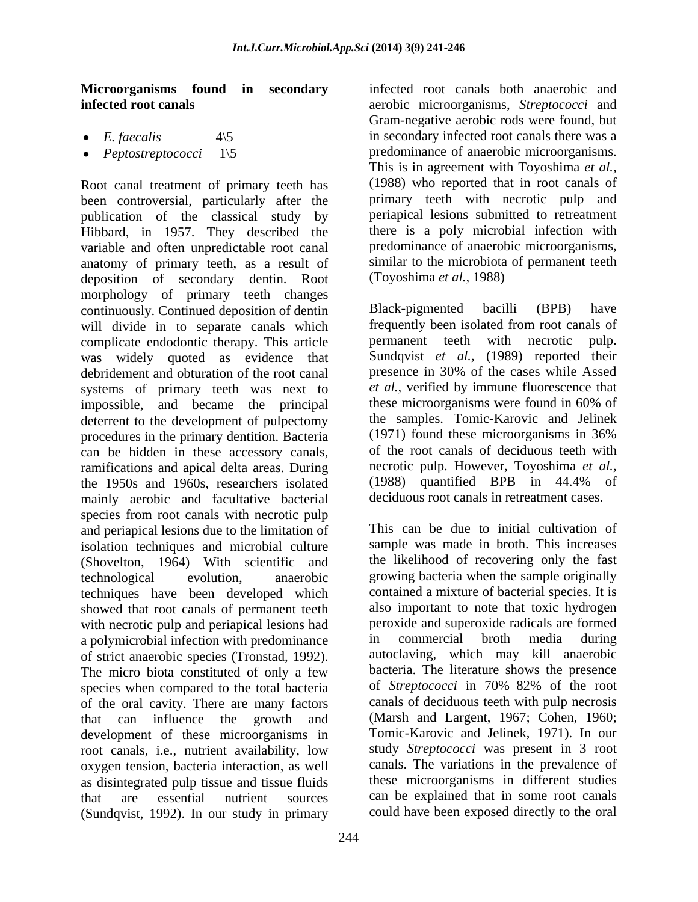- 
- 

Root canal treatment of primary teeth has been controversial, particularly after the publication of the classical study by Hibbard, in 1957. They described the variable and often unpredictable root canal anatomy of primary teeth, as a result of deposition of secondary dentin. Root morphology of primary teeth changes continuously. Continued deposition of dentin Black-pigmented bacilli (BPB) have will divide in to separate canals which frequently been isolated from root canals of complicate endodontic therapy. This article permanent teeth with necrotic pulp. complicate endodontic therapy. This article **permanent** teeth with necrotic was widely quoted as evidence that debridement and obturation of the root canal systems of primary teeth was next to et al., verified by immune fluorescence that<br>impossible and became the principal these microorganisms were found in 60% of impossible, and became the principal deterrent to the development of pulpectomy procedures in the primary dentition. Bacteria can be hidden in these accessory canals, ramifications and apical delta areas. During and the necrotic pulp. However, Toyoshima et al., the 1950s and 1960s researchers isolated (1988) quantified BPB in 44.4% of the 1950s and 1960s, researchers isolated mainly aerobic and facultative bacterial species from root canals with necrotic pulp and periapical lesions due to the limitation of isolation techniques and microbial culture (Shovelton, 1964) With scientific and techniques have been developed which showed that root canals of permanent teeth with necrotic pulp and periapical lesions had<br>a nolymicrobial infection with predominance<br>in commercial broth media during a polymicrobial infection with predominance species when compared to the total bacteria of Streptococci in 70%-82% of the root of the oral cavity. There are many factors that can influence the growth and development of these microorganisms in root canals, i.e., nutrient availability, low oxygen tension, bacteria interaction, as well as disintegrated pulp tissue and tissue fluids (Sundqvist, 1992). In our study in primary

**Microorganisms found in secondary** infected root canals both anaerobic and **infected root canals** aerobic microorganisms, *Streptococci* and *E. faecalis* 4\5 4\5 in secondary infected root canals there was a *Peptostreptococci* 1\5 predominance of anaerobic microorganisms. Gram-negative aerobic rods were found, but This is in agreement with Toyoshima *et al.,* (1988) who reported that in root canals of primary teeth with necrotic pulp and periapical lesions submitted to retreatment there is a poly microbial infection with predominance of anaerobic microorganisms, similar to the microbiota of permanent teeth (Toyoshima *et al.,* 1988)

> Black-pigmented bacilli (BPB) have frequently been isolated from root canals of permanent teeth with necrotic pulp. Sundqvist *et al.,* (1989) reported their presence in 30% of the cases while Assed *et al.,* verified by immune fluorescence that these microorganisms were found in 60% of the samples. Tomic-Karovic and Jelinek (1971) found these microorganisms in 36% of the root canals of deciduous teeth with necrotic pulp. However, Toyoshima *et al.,* (1988) quantified BPB in 44.4% of deciduous root canals in retreatment cases.

technological evolution, anaerobic growing bacteria when the sample originally of strict anaerobic species (Tronstad, 1992). autoclaving, which may kill anaerobic<br>The micro biota constituted of only a few bacteria. The literature shows the presence that are essential nutrient sources can be explained that in some root canals This can be due to initial cultivation of sample was made in broth. This increases the likelihood of recovering only the fast contained a mixture of bacterial species. It is also important to note that toxic hydrogen peroxide and superoxide radicals are formed in commercial broth media during autoclaving, which may kill anaerobic bacteria. The literature shows the presence of *Streptococci* in 70%–82% of the root canals of deciduous teeth with pulp necrosis (Marsh and Largent, 1967; Cohen, 1960; Tomic-Karovic and Jelinek, 1971). In our study *Streptococci* was present in 3 root canals. The variations in the prevalence of these microorganisms in different studies could have been exposed directly to the oral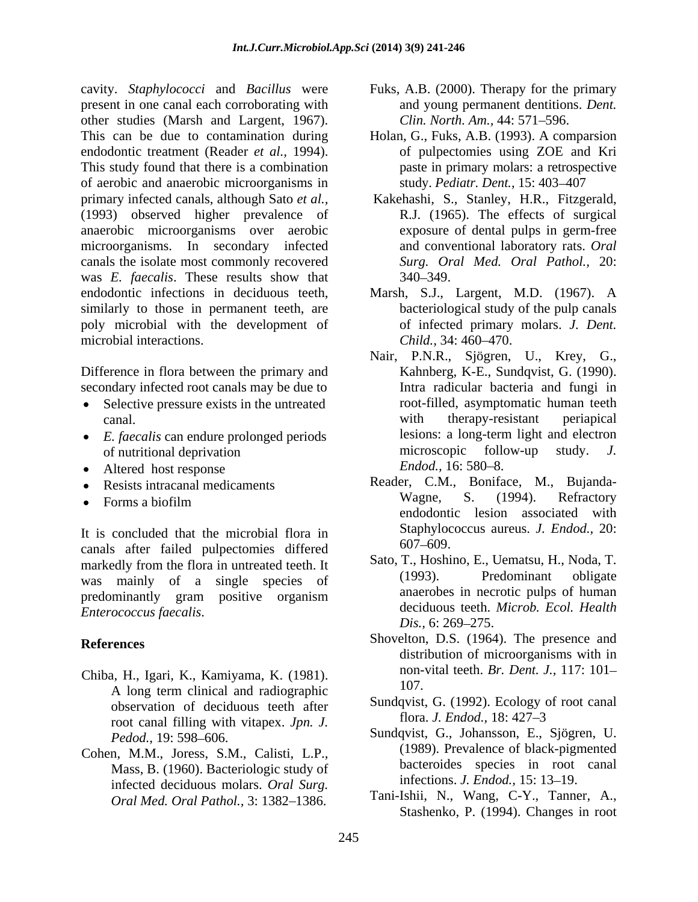cavity. *Staphylococci* and *Bacillus* were Fuks, A.B. (2000). Therapy for the primary present in one canal each corroborating with other studies (Marsh and Largent, 1967). This can be due to contamination during Holan, G.,Fuks, A.B. (1993). A comparsion endodontic treatment (Reader *et al.,* 1994). This study found that there is a combination of aerobic and anaerobic microorganisms in primary infected canals, although Sato *et al.,* Kakehashi, S., Stanley, H.R., Fitzgerald, (1993) observed higher prevalence of anaerobic microorganisms over aerobic microorganisms. In secondary infected canals the isolate most commonly recovered was *E. faecalis*. These results show that endodontic infections in deciduous teeth, Marsh, S.J., Largent, M.D. (1967). A similarly to those in permanent teeth, are poly microbial with the development of microbial interactions. Child., 34: 460–470.

Difference in flora between the primary and Kahnberg, K-E., Sundqvist, G. (1990).

- Selective pressure exists in the untreated  $\bullet$
- 
- 
- 
- $\bullet$

It is concluded that the microbial flora in  $\frac{\text{Staphyloc}}{607-609}$ canals after failed pulpectomies differed markedly from the flora in untreated teeth. It<br>west moving the state of the conduct of the conduct of the conduct of the conduct of the conduct of the conduct of the conduct of the conduct of the conduct of the conduct of was mainly of a single species of predominantly gram positive organism *Enterococcus faecalis.*<br>Dis., 6: 269–275.

- Chiba, H., Igari, K., Kamiyama, K. (1981).  $\frac{107}{107}$ . A long term clinical and radiographic observation of deciduous teeth after  $\frac{\text{Sundqvist, G. (1992). Ecology of the following method: } \frac{\text{Sundqvist, G. (1992). Ecology of the following method: } \frac{\text{Sundqvist, G. (1992).} \frac{\text{Sundqvist, G. (1992)}}{\text{Sundgylat, B. } \frac{\text{Sundgylat}}{\text{Sundgylat}}}}$ root canal filling with vitapex. *Jpn. J.*
- Cohen, M.M., Joress, S.M., Calisti, L.P., Mass, B. (1960). Bacteriologic study of infected deciduous molars. *Oral Surg. Oral Med. Oral Pathol., 3: 1382-1386.*
- and young permanent dentitions. *Dent. Clin. North. Am., 44: 571-596.*
- of pulpectomies using ZOE and Kri paste in primary molars: a retrospective study. *Pediatr. Dent.*, 15: 403-407
- R.J. (1965). The effects of surgical exposure of dental pulps in germ-free and conventional laboratory rats. *Oral Surg. Oral Med. Oral Pathol.,* 20: 340 349.
- bacteriological study of the pulp canals of infected primary molars. *J. Dent. Child.,* 34: 460–470.
- secondary infected root canals may be due to **Intra radicular** bacteria and fungi in canal. with the rapy-resistant periapical<br>
E. faecalis can endure prolonged periods lesions: a long-term light and electron • *E. faecalis* can endure prolonged periods lesions: a long-term light and electron of nutritional deprivation microscopic follow-up study. *J.* of nutritional deprivation and the microscopic follow-up study. J. Altered host response Endod., 16: 580–8. Nair, P.N.R., Sjögren, U., Krey, G., Kahnberg, K-E., Sundqvist, G. (1990). Intra radicular bacteria and fungi in root-filled, asymptomatic human teeth with therapy-resistant periapical lesions: a long-term light and electron microscopic follow-up study. *J. Endod.,* 16: 580–8.
	- Resists intracanal medicaments Reader, C.M., Boniface, M., Bujanda- Forms a biofilm wagne, S. (1994). Refractory Wagne, S. (1994). Refractory endodontic lesion associated with Staphylococcus aureus. *J. Endod.,* 20: 607 609.
		- Sato, T., Hoshino, E., Uematsu, H., Noda, T. (1993). Predominant obligate anaerobes in necrotic pulps of human deciduous teeth. *Microb. Ecol. Health Dis.*, 6: 269–275.
- **References** Shovelton, D.S. (1964). The presence and distribution of microorganisms with in non-vital teeth. *Br. Dent. J.,* 117: 101 107.
	- Sundqvist, G. (1992). Ecology of root canal flora. *J. Endod.,* 18: 427 3
	- Pedod., 19: 598–606. Sundqvist, G., Johansson, E., Sjögren, U. (1989). Prevalence of black-pigmented bacteroides species in root canal infections. *J. Endod.*, 15: 13-19.
		- Tani-Ishii, N., Wang, C-Y., Tanner, A., Stashenko, P. (1994). Changes in root